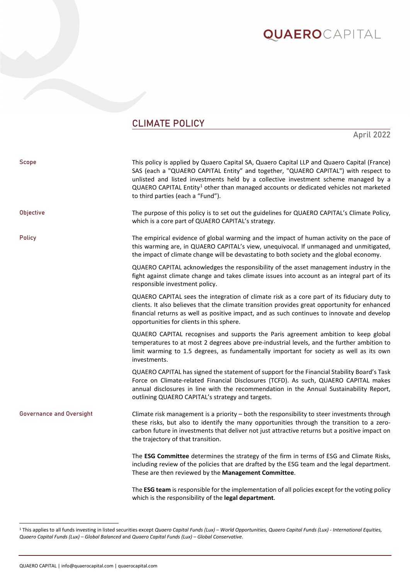## **QUAERO**CAPITAL

### CLIMATE POLICY

April 2022

| Scope                           | This policy is applied by Quaero Capital SA, Quaero Capital LLP and Quaero Capital (France)<br>SAS (each a "QUAERO CAPITAL Entity" and together, "QUAERO CAPITAL") with respect to<br>unlisted and listed investments held by a collective investment scheme managed by a<br>QUAERO CAPITAL Entity <sup>1</sup> other than managed accounts or dedicated vehicles not marketed<br>to third parties (each a "Fund"). |
|---------------------------------|---------------------------------------------------------------------------------------------------------------------------------------------------------------------------------------------------------------------------------------------------------------------------------------------------------------------------------------------------------------------------------------------------------------------|
| Objective                       | The purpose of this policy is to set out the guidelines for QUAERO CAPITAL's Climate Policy,<br>which is a core part of QUAERO CAPITAL's strategy.                                                                                                                                                                                                                                                                  |
| <b>Policy</b>                   | The empirical evidence of global warming and the impact of human activity on the pace of<br>this warming are, in QUAERO CAPITAL's view, unequivocal. If unmanaged and unmitigated,<br>the impact of climate change will be devastating to both society and the global economy.                                                                                                                                      |
|                                 | QUAERO CAPITAL acknowledges the responsibility of the asset management industry in the<br>fight against climate change and takes climate issues into account as an integral part of its<br>responsible investment policy.                                                                                                                                                                                           |
|                                 | QUAERO CAPITAL sees the integration of climate risk as a core part of its fiduciary duty to<br>clients. It also believes that the climate transition provides great opportunity for enhanced<br>financial returns as well as positive impact, and as such continues to innovate and develop<br>opportunities for clients in this sphere.                                                                            |
|                                 | QUAERO CAPITAL recognises and supports the Paris agreement ambition to keep global<br>temperatures to at most 2 degrees above pre-industrial levels, and the further ambition to<br>limit warming to 1.5 degrees, as fundamentally important for society as well as its own<br>investments.                                                                                                                         |
|                                 | QUAERO CAPITAL has signed the statement of support for the Financial Stability Board's Task<br>Force on Climate-related Financial Disclosures (TCFD). As such, QUAERO CAPITAL makes<br>annual disclosures in line with the recommendation in the Annual Sustainability Report,<br>outlining QUAERO CAPITAL's strategy and targets.                                                                                  |
| <b>Governance and Oversight</b> | Climate risk management is a priority - both the responsibility to steer investments through<br>these risks, but also to identify the many opportunities through the transition to a zero-<br>carbon future in investments that deliver not just attractive returns but a positive impact on<br>the trajectory of that transition.                                                                                  |
|                                 | The ESG Committee determines the strategy of the firm in terms of ESG and Climate Risks,<br>including review of the policies that are drafted by the ESG team and the legal department.<br>These are then reviewed by the Management Committee.                                                                                                                                                                     |
|                                 | The ESG team is responsible for the implementation of all policies except for the voting policy<br>which is the responsibility of the legal department.                                                                                                                                                                                                                                                             |

<span id="page-0-0"></span><sup>1</sup> This applies to all funds investing in listed securities except *Quaero Capital Funds (Lux) – World Opportunities, Quaero Capital Funds (Lux) - International Equities, Quaero Capital Funds (Lux) – Global Balanced* and *Quaero Capital Funds (Lux) – Global Conservative.*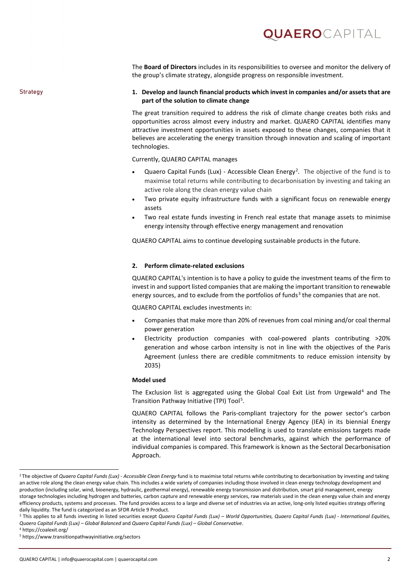### **QUAERO**capital

The **Board of Directors** includes in its responsibilities to oversee and monitor the delivery of the group's climate strategy, alongside progress on responsible investment.

#### Strategy **1. Develop and launch financial products which invest in companies and/or assets that are part of the solution to climate change**

The great transition required to address the risk of climate change creates both risks and opportunities across almost every industry and market. QUAERO CAPITAL identifies many attractive investment opportunities in assets exposed to these changes, companies that it believes are accelerating the energy transition through innovation and scaling of important technologies.

Currently, QUAERO CAPITAL manages

- Quaero Capital Funds (Lux) Accessible Clean Energy<sup>[2](#page-1-0)</sup>. The objective of the fund is to maximise total returns while contributing to decarbonisation by investing and taking an active role along the clean energy value chain
- Two private equity infrastructure funds with a significant focus on renewable energy assets
- Two real estate funds investing in French real estate that manage assets to minimise energy intensity through effective energy management and renovation

QUAERO CAPITAL aims to continue developing sustainable products in the future.

### **2. Perform climate-related exclusions**

QUAERO CAPITAL's intention is to have a policy to guide the investment teams of the firm to invest in and support listed companies that are making the important transition to renewable energy sources, and to exclude from the portfolios of funds<sup>[3](#page-1-1)</sup> the companies that are not.

QUAERO CAPITAL excludes investments in:

- Companies that make more than 20% of revenues from coal mining and/or coal thermal power generation
- Electricity production companies with coal-powered plants contributing >20% generation and whose carbon intensity is not in line with the objectives of the Paris Agreement (unless there are credible commitments to reduce emission intensity by 2035)

#### **Model used**

The Exclusion list is aggregated using the Global Coal Exit List from Urgewald<sup>[4](#page-1-2)</sup> and The Transition Pathway Initiative (TPI) Tool<sup>[5](#page-1-3)</sup>.

QUAERO CAPITAL follows the Paris-compliant trajectory for the power sector's carbon intensity as determined by the International Energy Agency (IEA) in its biennial Energy Technology Perspectives report. This modelling is used to translate emissions targets made at the international level into sectoral benchmarks, against which the performance of individual companies is compared. This framework is known as the Sectoral Decarbonisation Approach.

<span id="page-1-0"></span><sup>&</sup>lt;sup>2</sup> The objective of *Quaero Capital Funds (Lux) - Accessible Clean Energy* fund is to maximise total returns while contributing to decarbonisation by investing and taking an active role along the clean energy value chain. This includes a wide variety of companies including those involved in clean energy technology development and production (including solar, wind, bioenergy, hydraulic, geothermal energy), renewable energy transmission and distribution, smart grid management, energy storage technologies including hydrogen and batteries, carbon capture and renewable energy services, raw materials used in the clean energy value chain and energy efficiency products, systems and processes. The fund provides access to a large and diverse set of industries via an active, long-only listed equities strategy offering daily liquidity. The fund is categorized as an SFDR Article 9 Product.

<span id="page-1-1"></span><sup>3</sup> This applies to all funds investing in listed securities except *Quaero Capital Funds (Lux) – World Opportunities, Quaero Capital Funds (Lux) - International Equities, Quaero Capital Funds (Lux) – Global Balanced* and *Quaero Capital Funds (Lux) – Global Conservative*.

<span id="page-1-2"></span><sup>4</sup> https://coalexit.org/

<span id="page-1-3"></span><sup>5</sup> https://www.transitionpathwayinitiative.org/sectors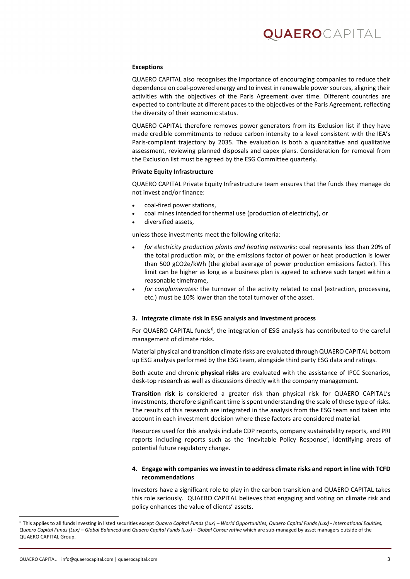# **UAERO**capital

#### **Exceptions**

QUAERO CAPITAL also recognises the importance of encouraging companies to reduce their dependence on coal-powered energy and to invest in renewable power sources, aligning their activities with the objectives of the Paris Agreement over time. Different countries are expected to contribute at different paces to the objectives of the Paris Agreement, reflecting the diversity of their economic status.

QUAERO CAPITAL therefore removes power generators from its Exclusion list if they have made credible commitments to reduce carbon intensity to a level consistent with the IEA's Paris-compliant trajectory by 2035. The evaluation is both a quantitative and qualitative assessment, reviewing planned disposals and capex plans. Consideration for removal from the Exclusion list must be agreed by the ESG Committee quarterly.

#### **Private Equity Infrastructure**

QUAERO CAPITAL Private Equity Infrastructure team ensures that the funds they manage do not invest and/or finance:

- coal-fired power stations,
- coal mines intended for thermal use (production of electricity), or
- diversified assets,

unless those investments meet the following criteria:

- *for electricity production plants and heating networks:* coal represents less than 20% of the total production mix, or the emissions factor of power or heat production is lower than 500 gCO2e/kWh (the global average of power production emissions factor). This limit can be higher as long as a business plan is agreed to achieve such target within a reasonable timeframe,
- *for conglomerates:* the turnover of the activity related to coal (extraction, processing, etc.) must be 10% lower than the total turnover of the asset.

#### **3. Integrate climate risk in ESG analysis and investment process**

For QUAERO CAPITAL funds<sup>[6](#page-2-0)</sup>, the integration of ESG analysis has contributed to the careful management of climate risks.

Material physical and transition climate risks are evaluated through QUAERO CAPITAL bottom up ESG analysis performed by the ESG team, alongside third party ESG data and ratings.

Both acute and chronic **physical risks** are evaluated with the assistance of IPCC Scenarios, desk-top research as well as discussions directly with the company management.

**Transition risk** is considered a greater risk than physical risk for QUAERO CAPITAL's investments, therefore significant time is spent understanding the scale of these type of risks. The results of this research are integrated in the analysis from the ESG team and taken into account in each investment decision where these factors are considered material.

Resources used for this analysis include CDP reports, company sustainability reports, and PRI reports including reports such as the 'Inevitable Policy Response', identifying areas of potential future regulatory change.

### **4. Engage with companies we invest in to address climate risks and report in line with TCFD recommendations**

Investors have a significant role to play in the carbon transition and QUAERO CAPITAL takes this role seriously. QUAERO CAPITAL believes that engaging and voting on climate risk and policy enhances the value of clients' assets.

<span id="page-2-0"></span><sup>6</sup> This applies to all funds investing in listed securities except *Quaero Capital Funds (Lux) – World Opportunities, Quaero Capital Funds (Lux) - International Equities, Quaero Capital Funds (Lux) – Global Balanced* and *Quaero Capital Funds (Lux) – Global Conservative* which are sub-managed by asset managers outside of the QUAERO CAPITAL Group.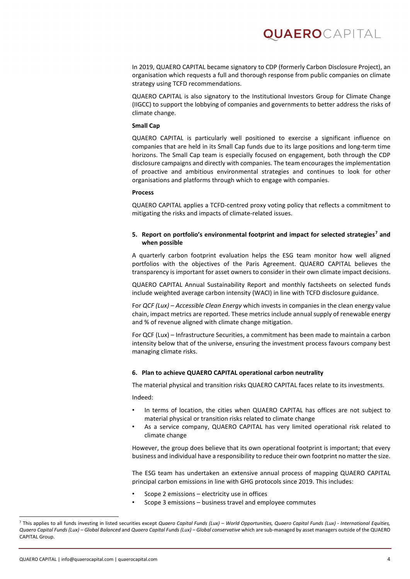### QUAEROCAPITAL

In 2019, QUAERO CAPITAL became signatory to CDP (formerly Carbon Disclosure Project), an organisation which requests a full and thorough response from public companies on climate strategy using TCFD recommendations.

QUAERO CAPITAL is also signatory to the Institutional Investors Group for Climate Change (IIGCC) to support the lobbying of companies and governments to better address the risks of climate change.

### **Small Cap**

QUAERO CAPITAL is particularly well positioned to exercise a significant influence on companies that are held in its Small Cap funds due to its large positions and long-term time horizons. The Small Cap team is especially focused on engagement, both through the CDP disclosure campaigns and directly with companies. The team encourages the implementation of proactive and ambitious environmental strategies and continues to look for other organisations and platforms through which to engage with companies.

#### **Process**

QUAERO CAPITAL applies a TCFD-centred proxy voting policy that reflects a commitment to mitigating the risks and impacts of climate-related issues.

### **5. Report on portfolio's environmental footprint and impact for selected strategies[7](#page-3-0) and when possible**

A quarterly carbon footprint evaluation helps the ESG team monitor how well aligned portfolios with the objectives of the Paris Agreement. QUAERO CAPITAL believes the transparency is important for asset owners to consider in their own climate impact decisions.

QUAERO CAPITAL Annual Sustainability Report and monthly factsheets on selected funds include weighted average carbon intensity (WACI) in line with TCFD disclosure guidance.

For *QCF (Lux) – Accessible Clean Energy* which invests in companies in the clean energy value chain, impact metrics are reported. These metrics include annual supply of renewable energy and % of revenue aligned with climate change mitigation.

For QCF (Lux) – Infrastructure Securities, a commitment has been made to maintain a carbon intensity below that of the universe, ensuring the investment process favours company best managing climate risks.

### **6. Plan to achieve QUAERO CAPITAL operational carbon neutrality**

The material physical and transition risks QUAERO CAPITAL faces relate to its investments.

Indeed:

- In terms of location, the cities when QUAERO CAPITAL has offices are not subject to material physical or transition risks related to climate change
- As a service company, QUAERO CAPITAL has very limited operational risk related to climate change

However, the group does believe that its own operational footprint is important; that every business and individual have a responsibility to reduce their own footprint no matter the size.

The ESG team has undertaken an extensive annual process of mapping QUAERO CAPITAL principal carbon emissions in line with GHG protocols since 2019. This includes:

- Scope 2 emissions electricity use in offices
- Scope 3 emissions business travel and employee commutes

<span id="page-3-0"></span><sup>7</sup> This applies to all funds investing in listed securities except *Quaero Capital Funds (Lux) – World Opportunities, Quaero Capital Funds (Lux) - International Equities, Quaero Capital Funds (Lux) – Global Balanced* and *Quaero Capital Funds (Lux) – Global conservative* which are sub-managed by asset managers outside of the QUAERO CAPITAL Group.